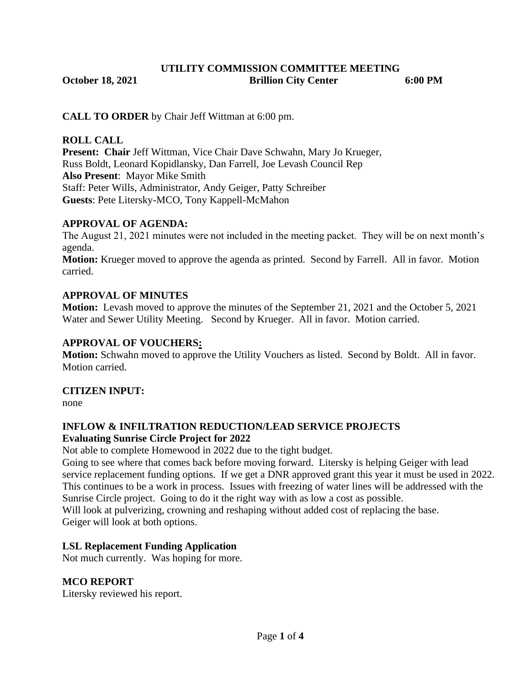#### **UTILITY COMMISSION COMMITTEE MEETING October 18, 2021 Brillion City Center 6:00 PM**

**CALL TO ORDER** by Chair Jeff Wittman at 6:00 pm.

#### **ROLL CALL**

**Present: Chair** Jeff Wittman, Vice Chair Dave Schwahn, Mary Jo Krueger, Russ Boldt, Leonard Kopidlansky, Dan Farrell, Joe Levash Council Rep **Also Present**: Mayor Mike Smith Staff: Peter Wills, Administrator, Andy Geiger, Patty Schreiber **Guests**: Pete Litersky-MCO, Tony Kappell-McMahon

## **APPROVAL OF AGENDA:**

The August 21, 2021 minutes were not included in the meeting packet. They will be on next month's agenda.

**Motion:** Krueger moved to approve the agenda as printed. Second by Farrell. All in favor. Motion carried.

## **APPROVAL OF MINUTES**

**Motion:** Levash moved to approve the minutes of the September 21, 2021 and the October 5, 2021 Water and Sewer Utility Meeting. Second by Krueger. All in favor. Motion carried.

#### **APPROVAL OF VOUCHERS:**

**Motion:** Schwahn moved to approve the Utility Vouchers as listed. Second by Boldt. All in favor. Motion carried.

#### **CITIZEN INPUT:**

none

#### **INFLOW & INFILTRATION REDUCTION/LEAD SERVICE PROJECTS Evaluating Sunrise Circle Project for 2022**

Not able to complete Homewood in 2022 due to the tight budget.

Going to see where that comes back before moving forward. Litersky is helping Geiger with lead service replacement funding options. If we get a DNR approved grant this year it must be used in 2022. This continues to be a work in process. Issues with freezing of water lines will be addressed with the Sunrise Circle project. Going to do it the right way with as low a cost as possible.

Will look at pulverizing, crowning and reshaping without added cost of replacing the base. Geiger will look at both options.

## **LSL Replacement Funding Application**

Not much currently. Was hoping for more.

## **MCO REPORT**

Litersky reviewed his report.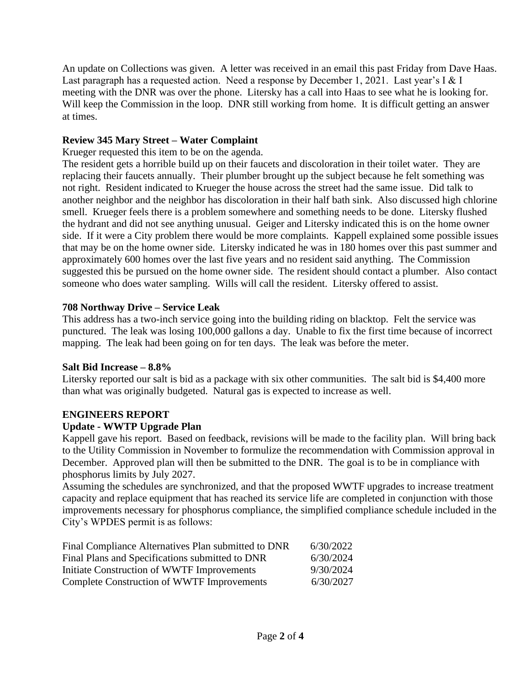An update on Collections was given. A letter was received in an email this past Friday from Dave Haas. Last paragraph has a requested action. Need a response by December 1, 2021. Last year's I & I meeting with the DNR was over the phone. Litersky has a call into Haas to see what he is looking for. Will keep the Commission in the loop. DNR still working from home. It is difficult getting an answer at times.

# **Review 345 Mary Street – Water Complaint**

Krueger requested this item to be on the agenda.

The resident gets a horrible build up on their faucets and discoloration in their toilet water. They are replacing their faucets annually. Their plumber brought up the subject because he felt something was not right. Resident indicated to Krueger the house across the street had the same issue. Did talk to another neighbor and the neighbor has discoloration in their half bath sink. Also discussed high chlorine smell. Krueger feels there is a problem somewhere and something needs to be done. Litersky flushed the hydrant and did not see anything unusual. Geiger and Litersky indicated this is on the home owner side. If it were a City problem there would be more complaints. Kappell explained some possible issues that may be on the home owner side. Litersky indicated he was in 180 homes over this past summer and approximately 600 homes over the last five years and no resident said anything. The Commission suggested this be pursued on the home owner side. The resident should contact a plumber. Also contact someone who does water sampling. Wills will call the resident. Litersky offered to assist.

#### **708 Northway Drive – Service Leak**

This address has a two-inch service going into the building riding on blacktop. Felt the service was punctured. The leak was losing 100,000 gallons a day. Unable to fix the first time because of incorrect mapping. The leak had been going on for ten days. The leak was before the meter.

#### **Salt Bid Increase – 8.8%**

Litersky reported our salt is bid as a package with six other communities. The salt bid is \$4,400 more than what was originally budgeted. Natural gas is expected to increase as well.

## **ENGINEERS REPORT**

## **Update - WWTP Upgrade Plan**

Kappell gave his report. Based on feedback, revisions will be made to the facility plan. Will bring back to the Utility Commission in November to formulize the recommendation with Commission approval in December. Approved plan will then be submitted to the DNR. The goal is to be in compliance with phosphorus limits by July 2027.

Assuming the schedules are synchronized, and that the proposed WWTF upgrades to increase treatment capacity and replace equipment that has reached its service life are completed in conjunction with those improvements necessary for phosphorus compliance, the simplified compliance schedule included in the City's WPDES permit is as follows:

| Final Compliance Alternatives Plan submitted to DNR | 6/30/2022 |
|-----------------------------------------------------|-----------|
| Final Plans and Specifications submitted to DNR     | 6/30/2024 |
| Initiate Construction of WWTF Improvements          | 9/30/2024 |
| <b>Complete Construction of WWTF Improvements</b>   | 6/30/2027 |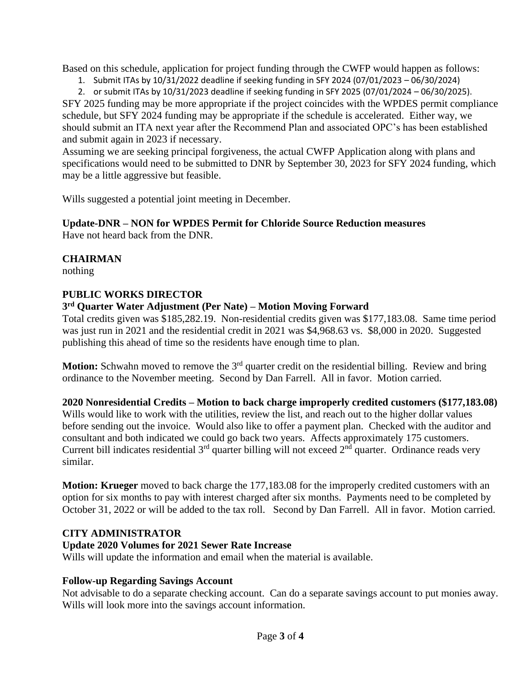Based on this schedule, application for project funding through the CWFP would happen as follows:

1. Submit ITAs by 10/31/2022 deadline if seeking funding in SFY 2024 (07/01/2023 – 06/30/2024)

2. or submit ITAs by 10/31/2023 deadline if seeking funding in SFY 2025 (07/01/2024 – 06/30/2025).

SFY 2025 funding may be more appropriate if the project coincides with the WPDES permit compliance schedule, but SFY 2024 funding may be appropriate if the schedule is accelerated. Either way, we should submit an ITA next year after the Recommend Plan and associated OPC's has been established and submit again in 2023 if necessary.

Assuming we are seeking principal forgiveness, the actual CWFP Application along with plans and specifications would need to be submitted to DNR by September 30, 2023 for SFY 2024 funding, which may be a little aggressive but feasible.

Wills suggested a potential joint meeting in December.

## **Update-DNR – NON for WPDES Permit for Chloride Source Reduction measures**

Have not heard back from the DNR.

## **CHAIRMAN**

nothing

#### **PUBLIC WORKS DIRECTOR**

## **3 rd Quarter Water Adjustment (Per Nate) – Motion Moving Forward**

Total credits given was \$185,282.19. Non-residential credits given was \$177,183.08. Same time period was just run in 2021 and the residential credit in 2021 was \$4,968.63 vs. \$8,000 in 2020. Suggested publishing this ahead of time so the residents have enough time to plan.

**Motion:** Schwahn moved to remove the 3<sup>rd</sup> quarter credit on the residential billing. Review and bring ordinance to the November meeting. Second by Dan Farrell. All in favor. Motion carried.

**2020 Nonresidential Credits – Motion to back charge improperly credited customers (\$177,183.08)** Wills would like to work with the utilities, review the list, and reach out to the higher dollar values before sending out the invoice. Would also like to offer a payment plan. Checked with the auditor and consultant and both indicated we could go back two years. Affects approximately 175 customers. Current bill indicates residential  $3<sup>rd</sup>$  quarter billing will not exceed  $2<sup>nd</sup>$  quarter. Ordinance reads very similar.

**Motion: Krueger** moved to back charge the 177,183.08 for the improperly credited customers with an option for six months to pay with interest charged after six months. Payments need to be completed by October 31, 2022 or will be added to the tax roll. Second by Dan Farrell. All in favor. Motion carried.

## **CITY ADMINISTRATOR**

## **Update 2020 Volumes for 2021 Sewer Rate Increase**

Wills will update the information and email when the material is available.

## **Follow-up Regarding Savings Account**

Not advisable to do a separate checking account. Can do a separate savings account to put monies away. Wills will look more into the savings account information.